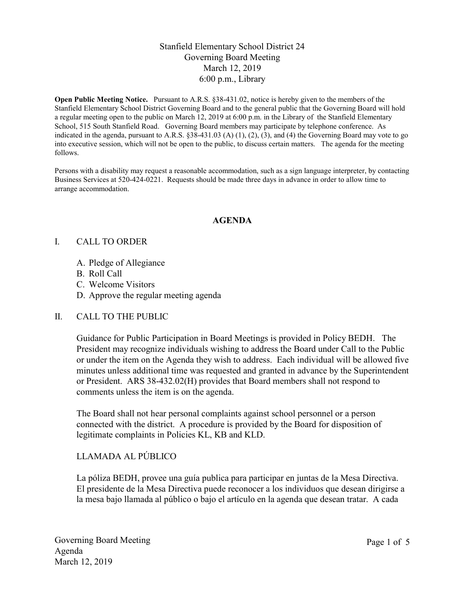# Stanfield Elementary School District 24 Governing Board Meeting March 12, 2019 6:00 p.m., Library

Open Public Meeting Notice. Pursuant to A.R.S. §38-431.02, notice is hereby given to the members of the Stanfield Elementary School District Governing Board and to the general public that the Governing Board will hold a regular meeting open to the public on March 12, 2019 at 6:00 p.m. in the Library of the Stanfield Elementary School, 515 South Stanfield Road. Governing Board members may participate by telephone conference. As indicated in the agenda, pursuant to A.R.S.  $\S 38-431.03$  (A) (1), (2), (3), and (4) the Governing Board may vote to go into executive session, which will not be open to the public, to discuss certain matters. The agenda for the meeting follows.

Persons with a disability may request a reasonable accommodation, such as a sign language interpreter, by contacting Business Services at 520-424-0221. Requests should be made three days in advance in order to allow time to arrange accommodation.

### AGENDA

#### I. CALL TO ORDER

- A. Pledge of Allegiance
- B. Roll Call
- C. Welcome Visitors
- D. Approve the regular meeting agenda

### II. CALL TO THE PUBLIC

Guidance for Public Participation in Board Meetings is provided in Policy BEDH. The President may recognize individuals wishing to address the Board under Call to the Public or under the item on the Agenda they wish to address. Each individual will be allowed five minutes unless additional time was requested and granted in advance by the Superintendent or President. ARS 38-432.02(H) provides that Board members shall not respond to comments unless the item is on the agenda.

The Board shall not hear personal complaints against school personnel or a person connected with the district. A procedure is provided by the Board for disposition of legitimate complaints in Policies KL, KB and KLD.

### LLAMADA AL PÚBLICO

La póliza BEDH, provee una guía publica para participar en juntas de la Mesa Directiva. El presidente de la Mesa Directiva puede reconocer a los individuos que desean dirigirse a la mesa bajo llamada al público o bajo el artículo en la agenda que desean tratar. A cada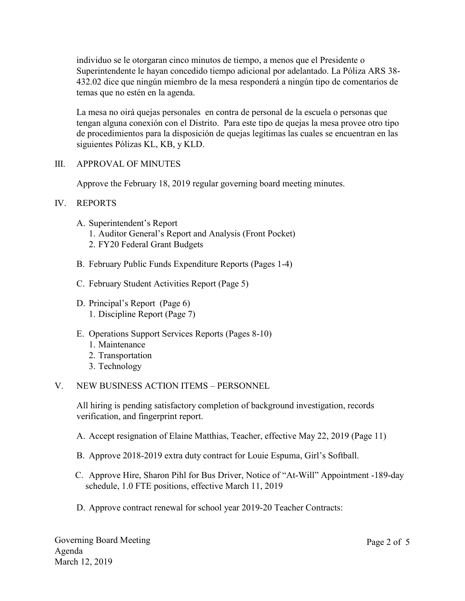individuo se le otorgaran cinco minutos de tiempo, a menos que el Presidente o Superintendente le hayan concedido tiempo adicional por adelantado. La Póliza ARS 38- 432.02 dice que ningún miembro de la mesa responderá a ningún tipo de comentarios de temas que no estén en la agenda.

La mesa no oirá quejas personales en contra de personal de la escuela o personas que tengan alguna conexión con el Distrito. Para este tipo de quejas la mesa provee otro tipo de procedimientos para la disposición de quejas legítimas las cuales se encuentran en las siguientes Pólizas KL, KB, y KLD.

### III. APPROVAL OF MINUTES

Approve the February 18, 2019 regular governing board meeting minutes.

### IV. REPORTS

- A. Superintendent's Report
	- 1. Auditor General's Report and Analysis (Front Pocket)
	- 2. FY20 Federal Grant Budgets
- B. February Public Funds Expenditure Reports (Pages 1-4)
- C. February Student Activities Report (Page 5)
- D. Principal's Report (Page 6) 1. Discipline Report (Page 7)
- E. Operations Support Services Reports (Pages 8-10)
	- 1. Maintenance
	- 2. Transportation
	- 3. Technology

### V. NEW BUSINESS ACTION ITEMS – PERSONNEL

All hiring is pending satisfactory completion of background investigation, records verification, and fingerprint report.

- A. Accept resignation of Elaine Matthias, Teacher, effective May 22, 2019 (Page 11)
- B. Approve 2018-2019 extra duty contract for Louie Espuma, Girl's Softball.
- C. Approve Hire, Sharon Pihl for Bus Driver, Notice of "At-Will" Appointment -189-day schedule, 1.0 FTE positions, effective March 11, 2019
- D. Approve contract renewal for school year 2019-20 Teacher Contracts: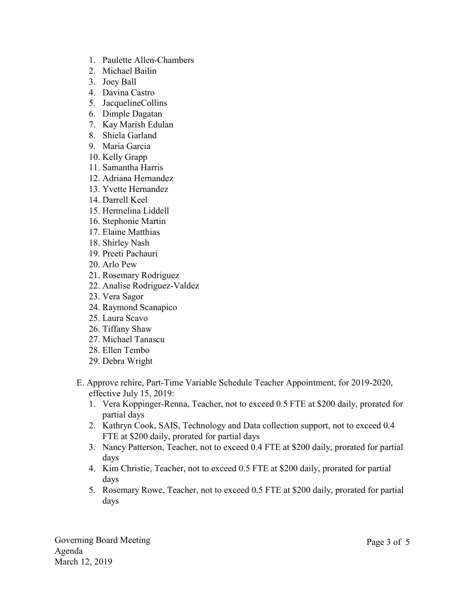- 1. Paulette Allen-Chambers
- 2. Michael Bailin
- 3. Joey Ball
- 4. Davina Castro
- 5. JacquelineCollins
- 6. Dimple Dagatan
- 7. Kay Marish Edulan
- 8. Shiela Garland
- 9. Maria Garcia
- 10. Kelly Grapp
- 11. Samantha Harris
- 12. Adriana Hernandez
- 13. Yvette Hernandez
- 14. Darrell Keel
- 15. Hermelina Liddell
- 16. Stephonie Martin
- 17. Elaine Matthias
- 18. Shirley Nash
- 19. Preeti Pachauri
- 20. Arlo Pew
- 21. Rosemary Rodriguez
- 22. Analise Rodriguez-Valdez
- 23. Vera Sagor
- 24. Raymond Scanapico
- 25. Laura Scavo
- 26. Tiffany Shaw
- 27. Michael Tanascu
- 28. Ellen Tembo
- 29. Debra Wright
- E. Approve rehire, Part-Time Variable Schedule Teacher Appointment, for 2019-2020, effective July 15, 2019:
	- 1. Vera Koppinger-Renna, Teacher, not to exceed 0.5 FTE at \$200 daily, prorated for partial days
	- 2. Kathryn Cook, SAIS, Technology and Data collection support, not to exceed 0.4 FTE at \$200 daily, prorated for partial days
	- 3. Nancy Patterson, Teacher, not to exceed 0.4 FTE at \$200 daily, prorated for partial days
	- 4. Kim Christie, Teacher, not to exceed 0.5 FTE at \$200 daily, prorated for partial days
	- 5. Rosemary Rowe, Teacher, not to exceed 0.5 FTE at \$200 daily, prorated for partial days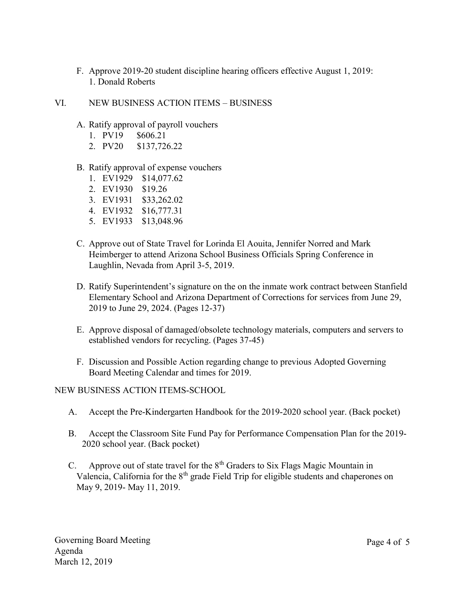- F. Approve 2019-20 student discipline hearing officers effective August 1, 2019: 1. Donald Roberts
- VI. NEW BUSINESS ACTION ITEMS BUSINESS
	- A. Ratify approval of payroll vouchers
		- 1. PV19 \$606.21
		- 2. PV20 \$137,726.22
	- B. Ratify approval of expense vouchers
		- 1. EV1929 \$14,077.62
		- 2. EV1930 \$19.26
		- 3. EV1931 \$33,262.02
		- 4. EV1932 \$16,777.31
		- 5. EV1933 \$13,048.96
	- C. Approve out of State Travel for Lorinda El Aouita, Jennifer Norred and Mark Heimberger to attend Arizona School Business Officials Spring Conference in Laughlin, Nevada from April 3-5, 2019.
	- D. Ratify Superintendent's signature on the on the inmate work contract between Stanfield Elementary School and Arizona Department of Corrections for services from June 29, 2019 to June 29, 2024. (Pages 12-37)
	- E. Approve disposal of damaged/obsolete technology materials, computers and servers to established vendors for recycling. (Pages 37-45)
	- F. Discussion and Possible Action regarding change to previous Adopted Governing Board Meeting Calendar and times for 2019.

NEW BUSINESS ACTION ITEMS-SCHOOL

- A. Accept the Pre-Kindergarten Handbook for the 2019-2020 school year. (Back pocket)
- B. Accept the Classroom Site Fund Pay for Performance Compensation Plan for the 2019- 2020 school year. (Back pocket)
- C. Approve out of state travel for the  $8<sup>th</sup>$  Graders to Six Flags Magic Mountain in Valencia, California for the  $8<sup>th</sup>$  grade Field Trip for eligible students and chaperones on May 9, 2019- May 11, 2019.